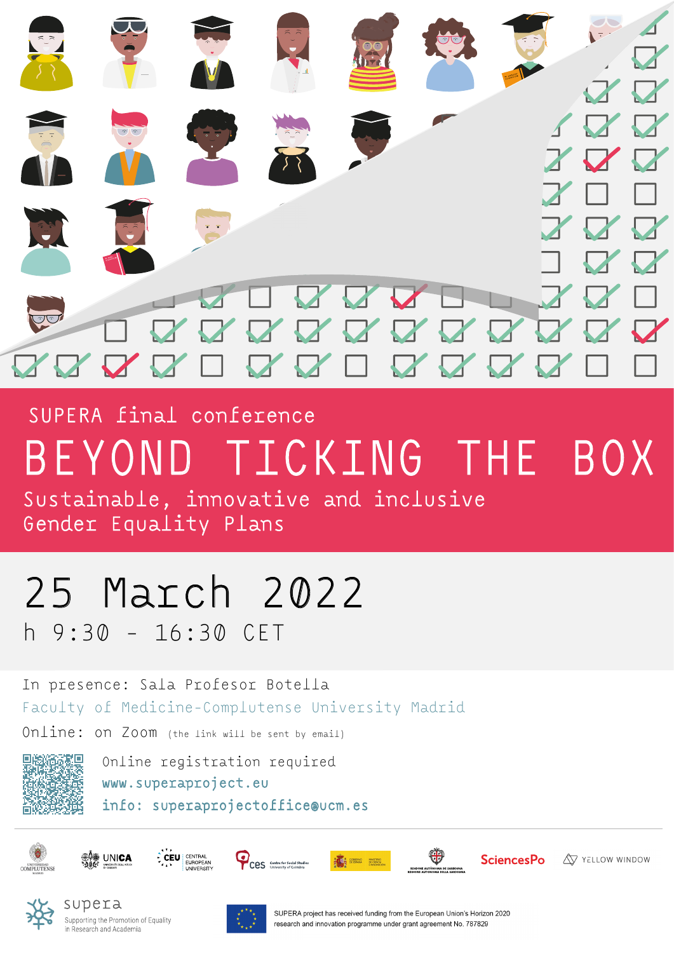## SUPERA final conference BEYOND TICKING THE BOX

Sustainable, innovative and inclusive Gender Equality Plans

## 25 March 2022 h 9:30 - 16:30 CET

In presence: Sala Profesor Botella [Faculty of Medicine-Complutense University Madrid](https://www.google.es/maps/place/Facultad+de+Medicina+UCM/@40.4439157,-3.7267454,17[…]d08f051:0xcdf057712d377c53!8m2!3d40.4439157!4d-3.7245567?hl=es)

 $OnLine:$  ON  $Zoom$  (the link will be sent by email)



www.superaproject.eu info: superaprojectoffice@ucm.es Online registration required





















SUPERA project has received funding from the European Union's Horizon 2020. research and innovation programme under grant agreement No. 787829